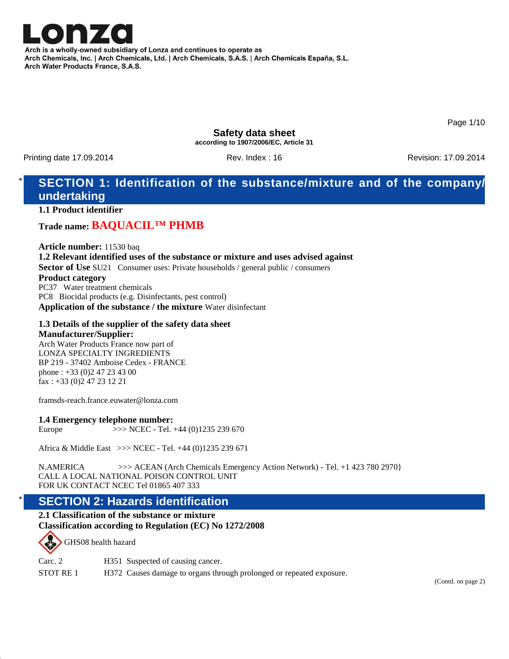

Arch is a wholly-owned subsidiary of Lonza and continues to operate as Arch Chemicals, Inc. | Arch Chemicals, Ltd. | Arch Chemicals, S.A.S. | Arch Chemicals España, S.L. Arch Water Products France, S.A.S.

Page 1/10

**Safety data sheet according to 1907/2006/EC, Article 31**

Printing date 17.09.2014 **Rev. Index : 16** Rev. Index : 16 Revision: 17.09.2014

# **SECTION 1: Identification of the substance/mixture and of the company/ undertaking**

**1.1 Product identifier**

# **Trade name: BAQUACIL™ PHMB**

**Article number:** 11530 baq **1.2 Relevant identified uses of the substance or mixture and uses advised against Sector of Use** SU21 Consumer uses: Private households / general public / consumers **Product category** PC37 Water treatment chemicals PC8 Biocidal products (e.g. Disinfectants, pest control) **Application of the substance / the mixture** Water disinfectant

#### **1.3 Details of the supplier of the safety data sheet Manufacturer/Supplier:**

Arch Water Products France now part of LONZA SPECIALTY INGREDIENTS BP 219 - 37402 Amboise Cedex - FRANCE phone : +33 (0)2 47 23 43 00 fax : +33 (0)2 47 23 12 21

framsds-reach.france.euwater@lonza.com

#### **1.4 Emergency telephone number:**

Europe >>> NCEC - Tel. +44 (0)1235 239 670

Africa & Middle East >>> NCEC - Tel. +44 (0)1235 239 671

N.AMERICA >>> ACEAN (Arch Chemicals Emergency Action Network) - Tel. +1 423 780 2970} CALL A LOCAL NATIONAL POISON CONTROL UNIT FOR UK CONTACT NCEC Tel 01865 407 333

# **SECTION 2: Hazards identification**

**2.1 Classification of the substance or mixture Classification according to Regulation (EC) No 1272/2008**

GHS08 health hazard

| Carc. $2$            | H351 Suspected of causing cancer.                                    |
|----------------------|----------------------------------------------------------------------|
| STOT RE <sub>1</sub> | H372 Causes damage to organs through prolonged or repeated exposure. |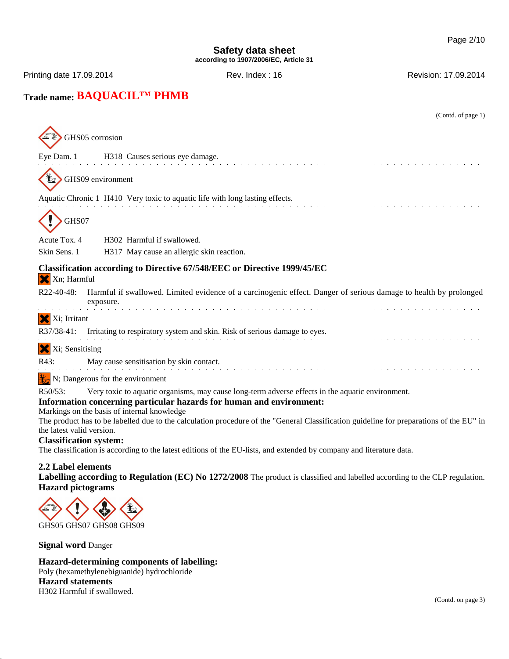Printing date 17.09.2014 **Rev. Index : 16** Rev. Index : 16 Revision: 17.09.2014

# **Trade name: BAQUACIL™ PHMB**

| (Contd. of page 1)                                                                                                                                                                                                                 |  |  |
|------------------------------------------------------------------------------------------------------------------------------------------------------------------------------------------------------------------------------------|--|--|
| GHS05 corrosion                                                                                                                                                                                                                    |  |  |
| H318 Causes serious eye damage.<br>Eye Dam. 1                                                                                                                                                                                      |  |  |
| GHS09 environment                                                                                                                                                                                                                  |  |  |
| Aquatic Chronic 1 H410 Very toxic to aquatic life with long lasting effects.                                                                                                                                                       |  |  |
| GHS07                                                                                                                                                                                                                              |  |  |
| Acute Tox. 4<br>H <sub>302</sub> Harmful if swallowed.<br>Skin Sens. 1<br>H317 May cause an allergic skin reaction.                                                                                                                |  |  |
|                                                                                                                                                                                                                                    |  |  |
| Classification according to Directive 67/548/EEC or Directive 1999/45/EC<br>X Xn; Harmful                                                                                                                                          |  |  |
| R22-40-48:<br>Harmful if swallowed. Limited evidence of a carcinogenic effect. Danger of serious damage to health by prolonged<br>exposure.                                                                                        |  |  |
| Xi; Irritant                                                                                                                                                                                                                       |  |  |
| R37/38-41:<br>Irritating to respiratory system and skin. Risk of serious damage to eyes.                                                                                                                                           |  |  |
| Xi; Sensitising                                                                                                                                                                                                                    |  |  |
| May cause sensitisation by skin contact.<br>R43:                                                                                                                                                                                   |  |  |
| N; Dangerous for the environment                                                                                                                                                                                                   |  |  |
| R50/53:<br>Very toxic to aquatic organisms, may cause long-term adverse effects in the aquatic environment.<br>Information concerning particular hazards for human and environment:<br>Markings on the basis of internal knowledge |  |  |
| The product has to be labelled due to the calculation procedure of the "General Classification guideline for preparations of the EU" in<br>the latest valid version.                                                               |  |  |
| <b>Classification system:</b><br>The classification is according to the latest editions of the EU-lists, and extended by company and literature data.                                                                              |  |  |
| 2.2 Label elements<br>Labelling according to Regulation (EC) No 1272/2008 The product is classified and labelled according to the CLP regulation.<br><b>Hazard</b> pictograms                                                      |  |  |
|                                                                                                                                                                                                                                    |  |  |
| GHS05 GHS07 GHS08 GHS09                                                                                                                                                                                                            |  |  |

**Signal word** Danger

### **Hazard-determining components of labelling:** Poly (hexamethylenebiguanide) hydrochloride

**Hazard statements** H302 Harmful if swallowed.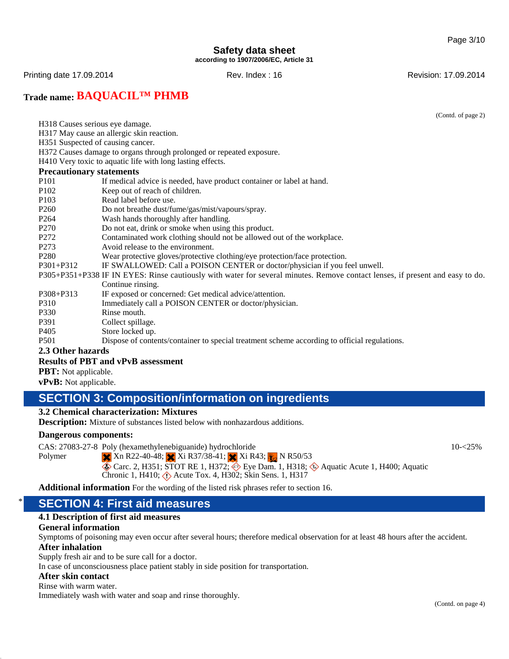Printing date 17.09.2014 **Rev. Index : 16** Rev. Index : 16 Revision: 17.09.2014

# **Trade name: BAQUACIL™ PHMB**

(Contd. of page 2)

- H318 Causes serious eye damage.
- H317 May cause an allergic skin reaction.
- H351 Suspected of causing cancer.

H372 Causes damage to organs through prolonged or repeated exposure.

H410 Very toxic to aquatic life with long lasting effects.

### **Precautionary statements**

- P101 If medical advice is needed, have product container or label at hand.
- P102 Keep out of reach of children.
- P103 Read label before use.
- P260 Do not breathe dust/fume/gas/mist/vapours/spray.
- P264 Wash hands thoroughly after handling.
- P270 Do not eat, drink or smoke when using this product.
- P272 Contaminated work clothing should not be allowed out of the workplace.
- P273 Avoid release to the environment.
- P280 Wear protective gloves/protective clothing/eye protection/face protection.
- P301+P312 IF SWALLOWED: Call a POISON CENTER or doctor/physician if you feel unwell.
- P305+P351+P338 IF IN EYES: Rinse cautiously with water for several minutes. Remove contact lenses, if present and easy to do. Continue rinsing.
- P308+P313 IF exposed or concerned: Get medical advice/attention.
- P310 Immediately call a POISON CENTER or doctor/physician.
- P330 Rinse mouth.<br>P391 Collect spilla
- Collect spillage.
- P405 Store locked up.
- P501 Dispose of contents/container to special treatment scheme according to official regulations.

#### **2.3 Other hazards**

#### **Results of PBT and vPvB assessment**

**PBT:** Not applicable.

**vPvB:** Not applicable.

# **SECTION 3: Composition/information on ingredients**

## **3.2 Chemical characterization: Mixtures**

**Description:** Mixture of substances listed below with nonhazardous additions.

#### **Dangerous components:**

CAS: 27083-27-8 Poly (hexamethylenebiguanide) hydrochloride

 $10 - 25%$ 

 $\times$  Xn R22-40-48;  $\times$  Xi R37/38-41;  $\times$  Xi R43;  $\times$  N R50/53

Carc. 2, H351; STOT RE 1, H372;  $\diamondledast$  Eye Dam. 1, H318;  $\diamondledast$  Aquatic Acute 1, H400; Aquatic Chronic 1, H410;  $\langle \cdot \rangle$  Acute Tox. 4, H302; Skin Sens. 1, H317

**Additional information** For the wording of the listed risk phrases refer to section 16.

# \* **SECTION 4: First aid measures**

#### **4.1 Description of first aid measures**

#### **General information**

Symptoms of poisoning may even occur after several hours; therefore medical observation for at least 48 hours after the accident.

#### **After inhalation**

Polymer

Supply fresh air and to be sure call for a doctor.

In case of unconsciousness place patient stably in side position for transportation.

### **After skin contact**

Rinse with warm water.

Immediately wash with water and soap and rinse thoroughly.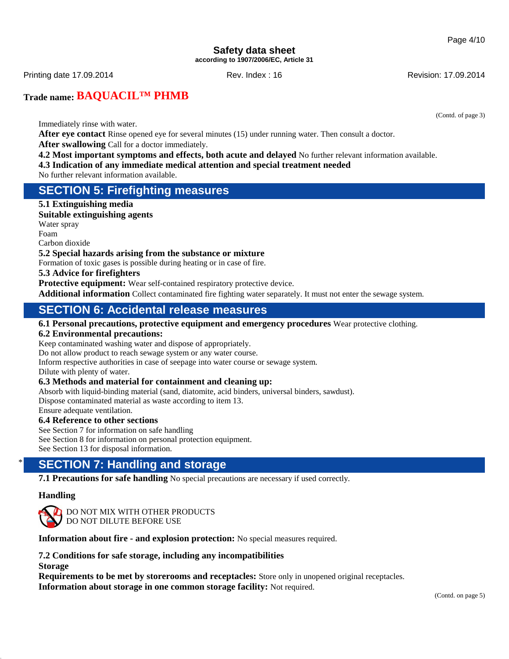(Contd. of page 3)

## **Safety data sheet according to 1907/2006/EC, Article 31**

Printing date 17.09.2014 **Rev. Index : 16** Rev. Index : 16 Revision: 17.09.2014

**Trade name: BAQUACIL™ PHMB**

Immediately rinse with water.

**After eye contact** Rinse opened eye for several minutes (15) under running water. Then consult a doctor. **After swallowing** Call for a doctor immediately.

- **4.2 Most important symptoms and effects, both acute and delayed** No further relevant information available.
- **4.3 Indication of any immediate medical attention and special treatment needed**

No further relevant information available.

# **SECTION 5: Firefighting measures**

**5.1 Extinguishing media Suitable extinguishing agents**

Water spray Foam

Carbon dioxide

### **5.2 Special hazards arising from the substance or mixture**

Formation of toxic gases is possible during heating or in case of fire.

### **5.3 Advice for firefighters**

**Protective equipment:** Wear self-contained respiratory protective device.

**Additional information** Collect contaminated fire fighting water separately. It must not enter the sewage system.

# **SECTION 6: Accidental release measures**

#### **6.1 Personal precautions, protective equipment and emergency procedures** Wear protective clothing.

#### **6.2 Environmental precautions:**

Keep contaminated washing water and dispose of appropriately.

Do not allow product to reach sewage system or any water course.

Inform respective authorities in case of seepage into water course or sewage system.

Dilute with plenty of water.

### **6.3 Methods and material for containment and cleaning up:**

Absorb with liquid-binding material (sand, diatomite, acid binders, universal binders, sawdust). Dispose contaminated material as waste according to item 13.

Ensure adequate ventilation.

#### **6.4 Reference to other sections**

See Section 7 for information on safe handling See Section 8 for information on personal protection equipment. See Section 13 for disposal information.

# **SECTION 7: Handling and storage**

**7.1 Precautions for safe handling** No special precautions are necessary if used correctly.

### **Handling**



DO NOT MIX WITH OTHER PRODUCTS DO NOT DILUTE BEFORE USE

**Information about fire - and explosion protection:** No special measures required.

**7.2 Conditions for safe storage, including any incompatibilities Storage**

**Requirements to be met by storerooms and receptacles:** Store only in unopened original receptacles.

**Information about storage in one common storage facility:** Not required.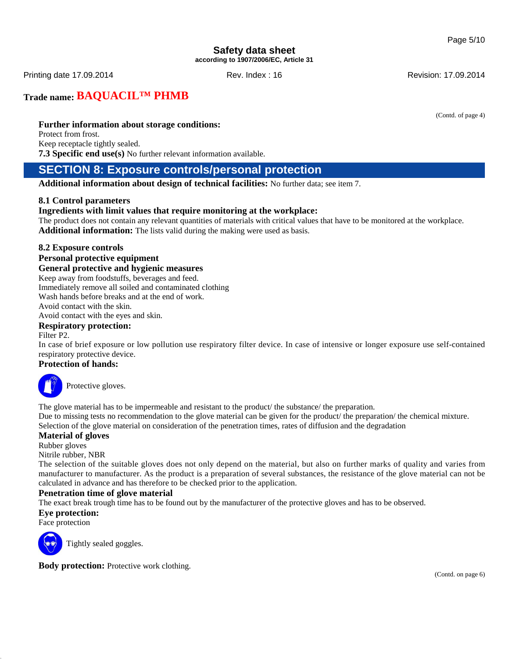Printing date 17.09.2014 **Rev. Index : 16** Rev. Index : 16 Revision: 17.09.2014

**Trade name: BAQUACIL™ PHMB**

**Further information about storage conditions:**

Protect from frost. Keep receptacle tightly sealed. **7.3 Specific end use(s)** No further relevant information available.

# **SECTION 8: Exposure controls/personal protection**

**Additional information about design of technical facilities:** No further data; see item 7.

### **8.1 Control parameters**

### **Ingredients with limit values that require monitoring at the workplace:**

The product does not contain any relevant quantities of materials with critical values that have to be monitored at the workplace. **Additional information:** The lists valid during the making were used as basis.

### **8.2 Exposure controls**

#### **Personal protective equipment**

### **General protective and hygienic measures**

Keep away from foodstuffs, beverages and feed.

Immediately remove all soiled and contaminated clothing

Wash hands before breaks and at the end of work.

# Avoid contact with the skin.

Avoid contact with the eyes and skin.

### **Respiratory protection:**

Filter P2.

In case of brief exposure or low pollution use respiratory filter device. In case of intensive or longer exposure use self-contained respiratory protective device.

### **Protection of hands:**



Protective gloves.

The glove material has to be impermeable and resistant to the product/ the substance/ the preparation. Due to missing tests no recommendation to the glove material can be given for the product/ the preparation/ the chemical mixture. Selection of the glove material on consideration of the penetration times, rates of diffusion and the degradation

#### **Material of gloves**

Rubber gloves

Nitrile rubber, NBR

The selection of the suitable gloves does not only depend on the material, but also on further marks of quality and varies from manufacturer to manufacturer. As the product is a preparation of several substances, the resistance of the glove material can not be calculated in advance and has therefore to be checked prior to the application.

### **Penetration time of glove material**

The exact break trough time has to be found out by the manufacturer of the protective gloves and has to be observed.

#### **Eye protection:**

Face protection



Tightly sealed goggles.

**Body protection:** Protective work clothing.

(Contd. of page 4)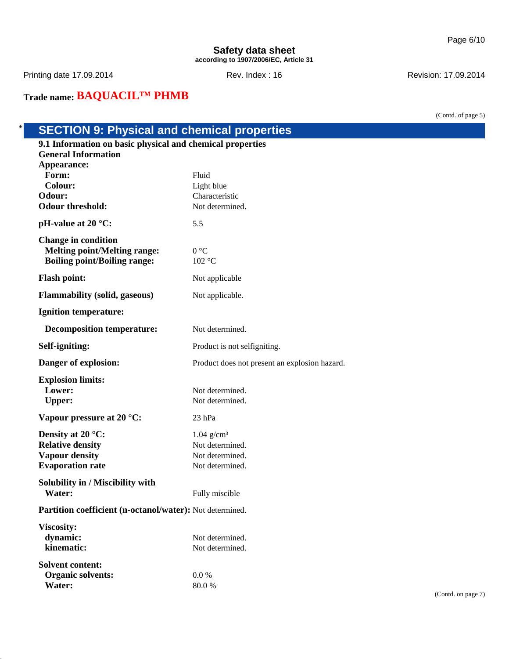Printing date 17.09.2014 **Rev. Index : 16** Rev. Index : 16 Revision: 17.09.2014

**Trade name: BAQUACIL™ PHMB**

(Contd. of page 5)

# \* **SECTION 9: Physical and chemical properties**

| 9.1 Information on basic physical and chemical properties                                                |                                               |  |  |
|----------------------------------------------------------------------------------------------------------|-----------------------------------------------|--|--|
| <b>General Information</b>                                                                               |                                               |  |  |
| Appearance:<br>Form:                                                                                     | Fluid                                         |  |  |
| Colour:                                                                                                  | Light blue                                    |  |  |
| Odour:                                                                                                   | Characteristic                                |  |  |
| <b>Odour threshold:</b>                                                                                  | Not determined.                               |  |  |
| pH-value at $20^{\circ}$ C:                                                                              | 5.5                                           |  |  |
| <b>Change in condition</b><br><b>Melting point/Melting range:</b><br><b>Boiling point/Boiling range:</b> | 0 °C<br>102 °C                                |  |  |
| <b>Flash point:</b>                                                                                      | Not applicable                                |  |  |
| <b>Flammability (solid, gaseous)</b>                                                                     | Not applicable.                               |  |  |
| <b>Ignition temperature:</b>                                                                             |                                               |  |  |
| <b>Decomposition temperature:</b>                                                                        | Not determined.                               |  |  |
| Self-igniting:                                                                                           | Product is not selfigniting.                  |  |  |
| Danger of explosion:                                                                                     | Product does not present an explosion hazard. |  |  |
| <b>Explosion limits:</b><br>Lower:<br><b>Upper:</b>                                                      | Not determined.<br>Not determined.            |  |  |
| Vapour pressure at 20 °C:                                                                                | $23$ hPa                                      |  |  |
| Density at 20 $\degree$ C:                                                                               | $1.04$ g/cm <sup>3</sup>                      |  |  |
| <b>Relative density</b>                                                                                  | Not determined.                               |  |  |
| <b>Vapour density</b>                                                                                    | Not determined.                               |  |  |
| <b>Evaporation rate</b>                                                                                  | Not determined.                               |  |  |
| Solubility in / Miscibility with                                                                         |                                               |  |  |
| Water:                                                                                                   | Fully miscible                                |  |  |
| Partition coefficient (n-octanol/water): Not determined.                                                 |                                               |  |  |
| Viscosity:                                                                                               |                                               |  |  |
| dynamic:                                                                                                 | Not determined.                               |  |  |
| kinematic:                                                                                               | Not determined.                               |  |  |
| <b>Solvent content:</b>                                                                                  |                                               |  |  |
| <b>Organic solvents:</b>                                                                                 | 0.0 %                                         |  |  |
| Water:                                                                                                   | 80.0%                                         |  |  |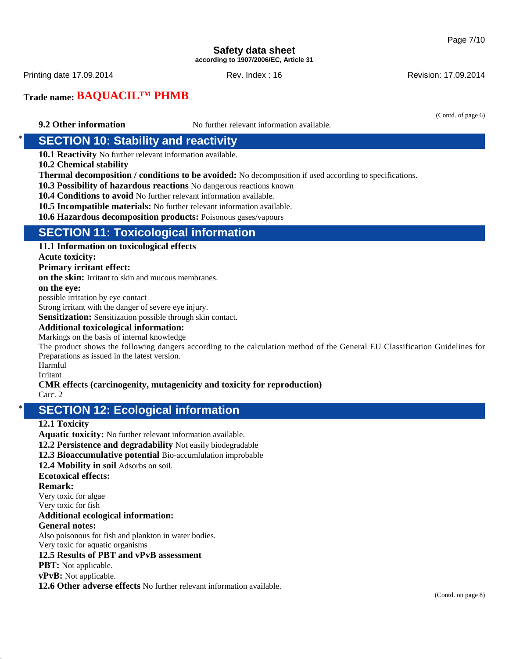Printing date 17.09.2014 **Rev. Index : 16** Rev. Index : 16 Revision: 17.09.2014

# **Trade name: BAQUACIL™ PHMB**

(Contd. of page 6)

**9.2 Other information** No further relevant information available.

# **SECTION 10: Stability and reactivity**

**10.1 Reactivity** No further relevant information available.

**10.2 Chemical stability**

**Thermal decomposition / conditions to be avoided:** No decomposition if used according to specifications.

**10.3 Possibility of hazardous reactions** No dangerous reactions known

**10.4 Conditions to avoid** No further relevant information available.

**10.5 Incompatible materials:** No further relevant information available.

**10.6 Hazardous decomposition products:** Poisonous gases/vapours

# **SECTION 11: Toxicological information**

**11.1 Information on toxicological effects**

**Acute toxicity:**

### **Primary irritant effect:**

**on the skin:** Irritant to skin and mucous membranes.

#### **on the eye:**

possible irritation by eye contact

Strong irritant with the danger of severe eye injury.

**Sensitization:** Sensitization possible through skin contact.

#### **Additional toxicological information:**

Markings on the basis of internal knowledge

The product shows the following dangers according to the calculation method of the General EU Classification Guidelines for Preparations as issued in the latest version.

Harmful

Irritant

### **CMR effects (carcinogenity, mutagenicity and toxicity for reproduction)**

Carc. 2

# **SECTION 12: Ecological information**

### **12.1 Toxicity**

**Aquatic toxicity:** No further relevant information available.

**12.2 Persistence and degradability** Not easily biodegradable

**12.3 Bioaccumulative potential** Bio-accumlulation improbable

**12.4 Mobility in soil** Adsorbs on soil.

### **Ecotoxical effects:**

**Remark:**

Very toxic for algae

Very toxic for fish

### **Additional ecological information:**

**General notes:**

Also poisonous for fish and plankton in water bodies.

Very toxic for aquatic organisms

#### **12.5 Results of PBT and vPvB assessment**

**PBT:** Not applicable.

**vPvB:** Not applicable.

**12.6 Other adverse effects** No further relevant information available.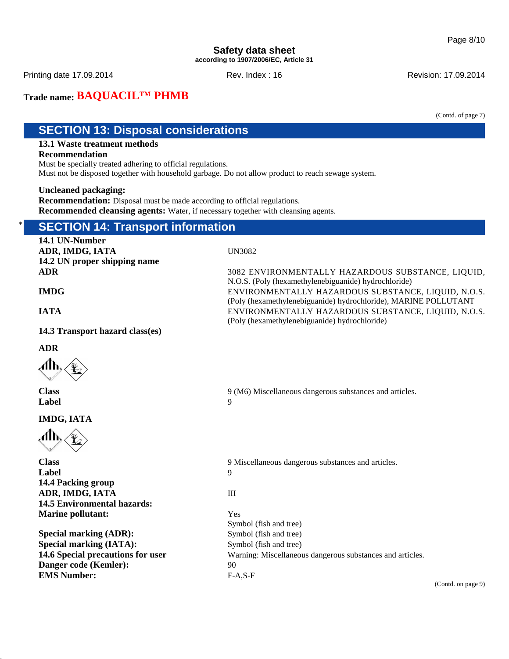Printing date 17.09.2014 **Rev. Index : 16** Rev. Index : 16 Revision: 17.09.2014

# **Trade name: BAQUACIL™ PHMB**

(Contd. of page 7)

# **SECTION 13: Disposal considerations**

# **13.1 Waste treatment methods**

### **Recommendation**

Must be specially treated adhering to official regulations.

Must not be disposed together with household garbage. Do not allow product to reach sewage system.

### **Uncleaned packaging:**

**Recommendation:** Disposal must be made according to official regulations. **Recommended cleansing agents:** Water, if necessary together with cleansing agents.

# **SECTION 14: Transport information**

**14.1 UN-Number ADR, IMDG, IATA** UN3082 **14.2 UN proper shipping name ADR** 3082 ENVIRONMENTALLY HAZARDOUS SUBSTANCE, LIQUID, N.O.S. (Poly (hexamethylenebiguanide) hydrochloride) **IMDG** ENVIRONMENTALLY HAZARDOUS SUBSTANCE, LIQUID, N.O.S. (Poly (hexamethylenebiguanide) hydrochloride), MARINE POLLUTANT **IATA** ENVIRONMENTALLY HAZARDOUS SUBSTANCE, LIQUID, N.O.S. (Poly (hexamethylenebiguanide) hydrochloride) **14.3 Transport hazard class(es) ADR** ЛЉ **Class** 9 (M6) Miscellaneous dangerous substances and articles. **Label** 9 **IMDG, IATA Class** 9 Miscellaneous dangerous substances and articles. **Label** 9 **14.4 Packing group ADR, IMDG, IATA** III **14.5 Environmental hazards: Marine pollutant:** Yes Symbol (fish and tree) **Special marking (ADR):** Symbol (fish and tree) **Special marking (IATA):** Symbol (fish and tree) **14.6 Special precautions for user** Warning: Miscellaneous dangerous substances and articles. **Danger code (Kemler):** 90 **EMS Number:** F-A,S-F

(Contd. on page 9)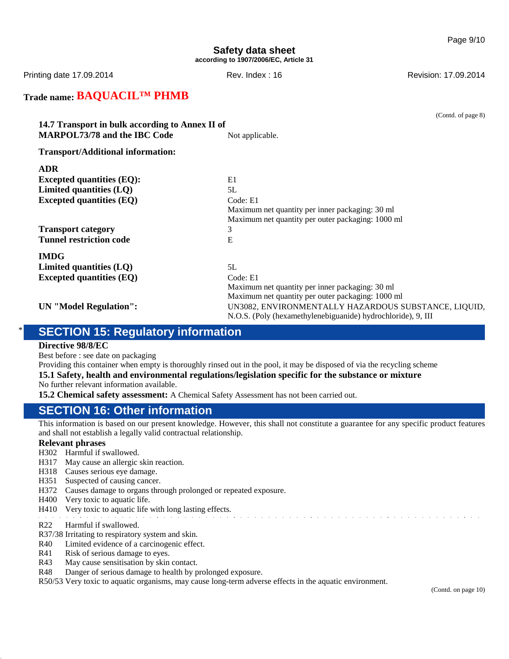Printing date 17.09.2014 **Rev. Index : 16** Rev. Index : 16 Revision: 17.09.2014

# **Trade name: BAQUACIL™ PHMB**

(Contd. of page 8) **14.7 Transport in bulk according to Annex II of MARPOL73/78 and the IBC Code** Not applicable. **Transport/Additional information: ADR Excepted quantities (EQ):** E1 **Limited quantities (LQ)** 5L **Excepted quantities (EQ)** Code: E1 Maximum net quantity per inner packaging: 30 ml Maximum net quantity per outer packaging: 1000 ml **Transport category** 3 **Tunnel restriction code** E **IMDG Limited quantities (LQ)** 5L **Excepted quantities (EQ)** Code: E1 Maximum net quantity per inner packaging: 30 ml Maximum net quantity per outer packaging: 1000 ml **UN "Model Regulation":** UN3082, ENVIRONMENTALLY HAZARDOUS SUBSTANCE, LIQUID, N.O.S. (Poly (hexamethylenebiguanide) hydrochloride), 9, III

# **SECTION 15: Regulatory information**

#### **Directive 98/8/EC**

Best before : see date on packaging

Providing this container when empty is thoroughly rinsed out in the pool, it may be disposed of via the recycling scheme **15.1 Safety, health and environmental regulations/legislation specific for the substance or mixture**

No further relevant information available.

**15.2 Chemical safety assessment:** A Chemical Safety Assessment has not been carried out.

# **SECTION 16: Other information**

This information is based on our present knowledge. However, this shall not constitute a guarantee for any specific product features and shall not establish a legally valid contractual relationship.

### **Relevant phrases**

- H302 Harmful if swallowed.
- H317 May cause an allergic skin reaction.
- H318 Causes serious eye damage.
- H351 Suspected of causing cancer.
- H372 Causes damage to organs through prolonged or repeated exposure.
- H400 Very toxic to aquatic life.
- H410 Very toxic to aquatic life with long lasting effects.

- R22 Harmful if swallowed.
- R37/38 Irritating to respiratory system and skin.
- R40 Limited evidence of a carcinogenic effect.
- R41 Risk of serious damage to eyes.
- R43 May cause sensitisation by skin contact.
- R48 Danger of serious damage to health by prolonged exposure.

R50/53 Very toxic to aquatic organisms, may cause long-term adverse effects in the aquatic environment.